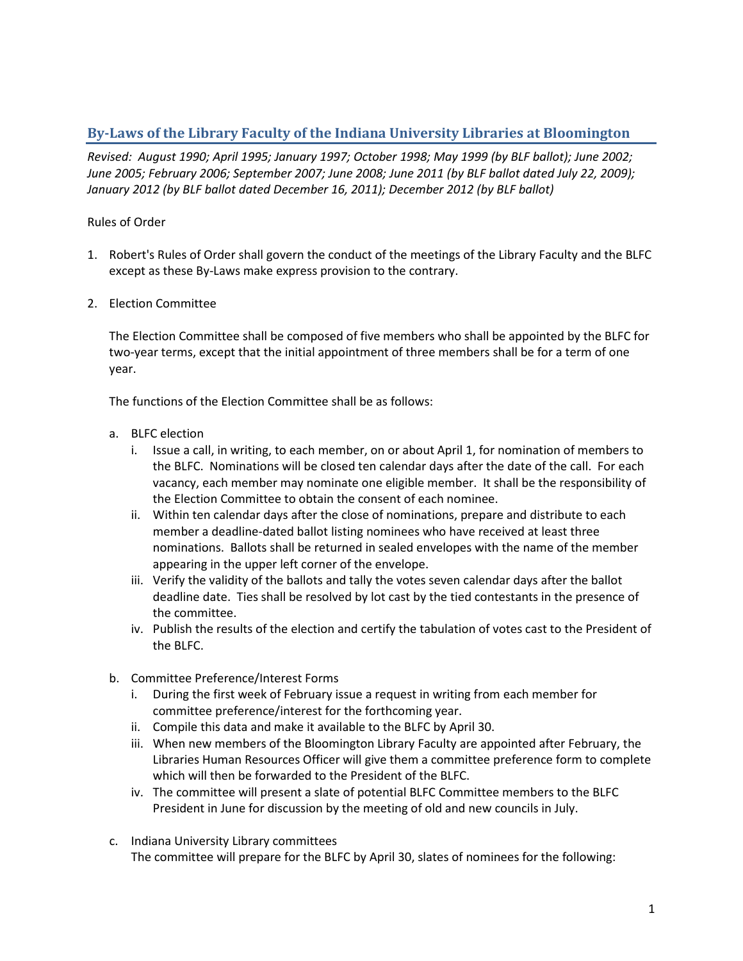## **By-Laws of the Library Faculty of the Indiana University Libraries at Bloomington**

*Revised: August 1990; April 1995; January 1997; October 1998; May 1999 (by BLF ballot); June 2002; June 2005; February 2006; September 2007; June 2008; June 2011 (by BLF ballot dated July 22, 2009); January 2012 (by BLF ballot dated December 16, 2011); December 2012 (by BLF ballot)*

## Rules of Order

- 1. Robert's Rules of Order shall govern the conduct of the meetings of the Library Faculty and the BLFC except as these By-Laws make express provision to the contrary.
- 2. Election Committee

The Election Committee shall be composed of five members who shall be appointed by the BLFC for two-year terms, except that the initial appointment of three members shall be for a term of one year.

The functions of the Election Committee shall be as follows:

- a. BLFC election
	- i. Issue a call, in writing, to each member, on or about April 1, for nomination of members to the BLFC. Nominations will be closed ten calendar days after the date of the call. For each vacancy, each member may nominate one eligible member. It shall be the responsibility of the Election Committee to obtain the consent of each nominee.
	- ii. Within ten calendar days after the close of nominations, prepare and distribute to each member a deadline-dated ballot listing nominees who have received at least three nominations. Ballots shall be returned in sealed envelopes with the name of the member appearing in the upper left corner of the envelope.
	- iii. Verify the validity of the ballots and tally the votes seven calendar days after the ballot deadline date. Ties shall be resolved by lot cast by the tied contestants in the presence of the committee.
	- iv. Publish the results of the election and certify the tabulation of votes cast to the President of the BLFC.
- b. Committee Preference/Interest Forms
	- i. During the first week of February issue a request in writing from each member for committee preference/interest for the forthcoming year.
	- ii. Compile this data and make it available to the BLFC by April 30.
	- iii. When new members of the Bloomington Library Faculty are appointed after February, the Libraries Human Resources Officer will give them a committee preference form to complete which will then be forwarded to the President of the BLFC.
	- iv. The committee will present a slate of potential BLFC Committee members to the BLFC President in June for discussion by the meeting of old and new councils in July.
- c. Indiana University Library committees The committee will prepare for the BLFC by April 30, slates of nominees for the following: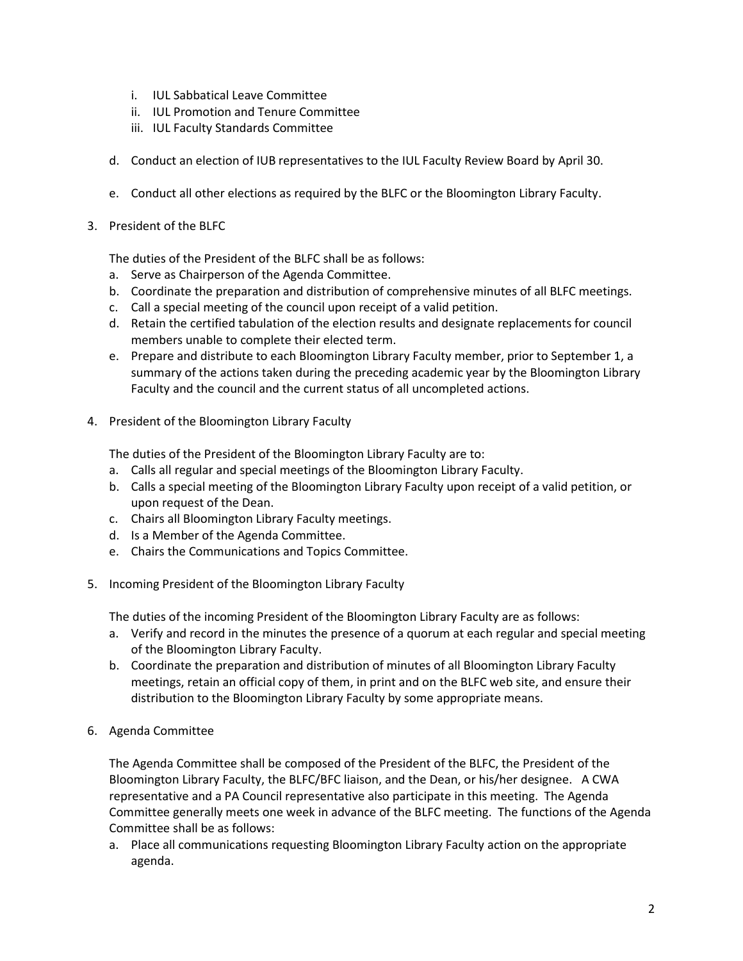- i. IUL Sabbatical Leave Committee
- ii. IUL Promotion and Tenure Committee
- iii. IUL Faculty Standards Committee
- d. Conduct an election of IUB representatives to the IUL Faculty Review Board by April 30.
- e. Conduct all other elections as required by the BLFC or the Bloomington Library Faculty.
- 3. President of the BLFC

The duties of the President of the BLFC shall be as follows:

- a. Serve as Chairperson of the Agenda Committee.
- b. Coordinate the preparation and distribution of comprehensive minutes of all BLFC meetings.
- c. Call a special meeting of the council upon receipt of a valid petition.
- d. Retain the certified tabulation of the election results and designate replacements for council members unable to complete their elected term.
- e. Prepare and distribute to each Bloomington Library Faculty member, prior to September 1, a summary of the actions taken during the preceding academic year by the Bloomington Library Faculty and the council and the current status of all uncompleted actions.
- 4. President of the Bloomington Library Faculty

The duties of the President of the Bloomington Library Faculty are to:

- a. Calls all regular and special meetings of the Bloomington Library Faculty.
- b. Calls a special meeting of the Bloomington Library Faculty upon receipt of a valid petition, or upon request of the Dean.
- c. Chairs all Bloomington Library Faculty meetings.
- d. Is a Member of the Agenda Committee.
- e. Chairs the Communications and Topics Committee.
- 5. Incoming President of the Bloomington Library Faculty

The duties of the incoming President of the Bloomington Library Faculty are as follows:

- a. Verify and record in the minutes the presence of a quorum at each regular and special meeting of the Bloomington Library Faculty.
- b. Coordinate the preparation and distribution of minutes of all Bloomington Library Faculty meetings, retain an official copy of them, in print and on the BLFC web site, and ensure their distribution to the Bloomington Library Faculty by some appropriate means.
- 6. Agenda Committee

The Agenda Committee shall be composed of the President of the BLFC, the President of the Bloomington Library Faculty, the BLFC/BFC liaison, and the Dean, or his/her designee. A CWA representative and a PA Council representative also participate in this meeting. The Agenda Committee generally meets one week in advance of the BLFC meeting. The functions of the Agenda Committee shall be as follows:

a. Place all communications requesting Bloomington Library Faculty action on the appropriate agenda.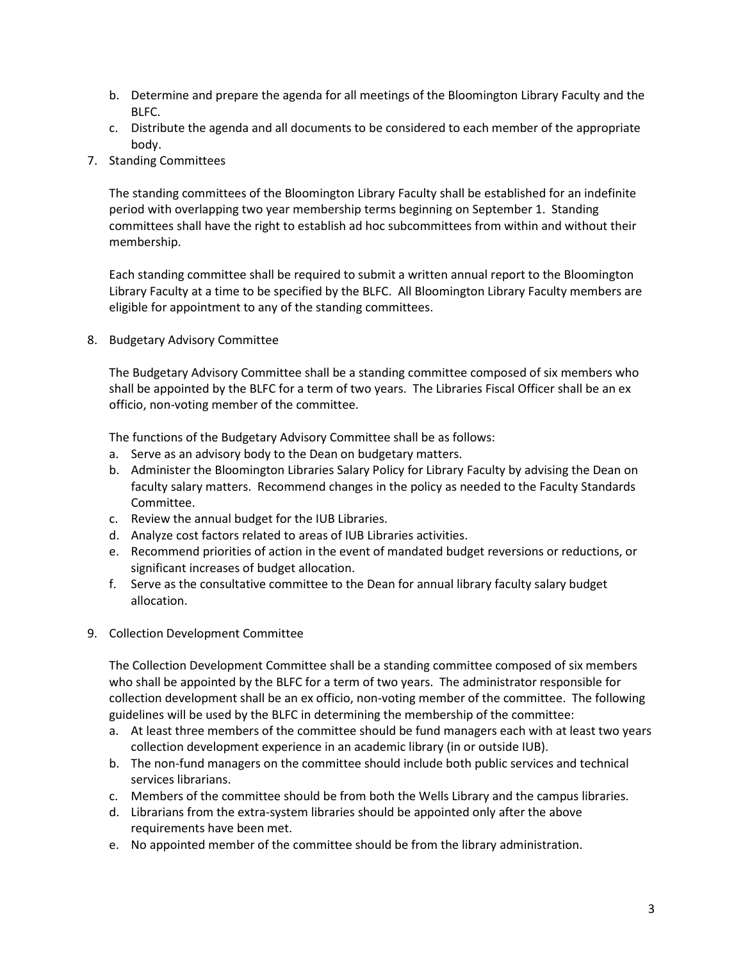- b. Determine and prepare the agenda for all meetings of the Bloomington Library Faculty and the BLFC.
- c. Distribute the agenda and all documents to be considered to each member of the appropriate body.
- 7. Standing Committees

The standing committees of the Bloomington Library Faculty shall be established for an indefinite period with overlapping two year membership terms beginning on September 1. Standing committees shall have the right to establish ad hoc subcommittees from within and without their membership.

Each standing committee shall be required to submit a written annual report to the Bloomington Library Faculty at a time to be specified by the BLFC. All Bloomington Library Faculty members are eligible for appointment to any of the standing committees.

8. Budgetary Advisory Committee

The Budgetary Advisory Committee shall be a standing committee composed of six members who shall be appointed by the BLFC for a term of two years. The Libraries Fiscal Officer shall be an ex officio, non-voting member of the committee.

The functions of the Budgetary Advisory Committee shall be as follows:

- a. Serve as an advisory body to the Dean on budgetary matters.
- b. Administer the Bloomington Libraries Salary Policy for Library Faculty by advising the Dean on faculty salary matters. Recommend changes in the policy as needed to the Faculty Standards Committee.
- c. Review the annual budget for the IUB Libraries.
- d. Analyze cost factors related to areas of IUB Libraries activities.
- e. Recommend priorities of action in the event of mandated budget reversions or reductions, or significant increases of budget allocation.
- f. Serve as the consultative committee to the Dean for annual library faculty salary budget allocation.
- 9. Collection Development Committee

The Collection Development Committee shall be a standing committee composed of six members who shall be appointed by the BLFC for a term of two years. The administrator responsible for collection development shall be an ex officio, non-voting member of the committee. The following guidelines will be used by the BLFC in determining the membership of the committee:

- a. At least three members of the committee should be fund managers each with at least two years collection development experience in an academic library (in or outside IUB).
- b. The non-fund managers on the committee should include both public services and technical services librarians.
- c. Members of the committee should be from both the Wells Library and the campus libraries.
- d. Librarians from the extra-system libraries should be appointed only after the above requirements have been met.
- e. No appointed member of the committee should be from the library administration.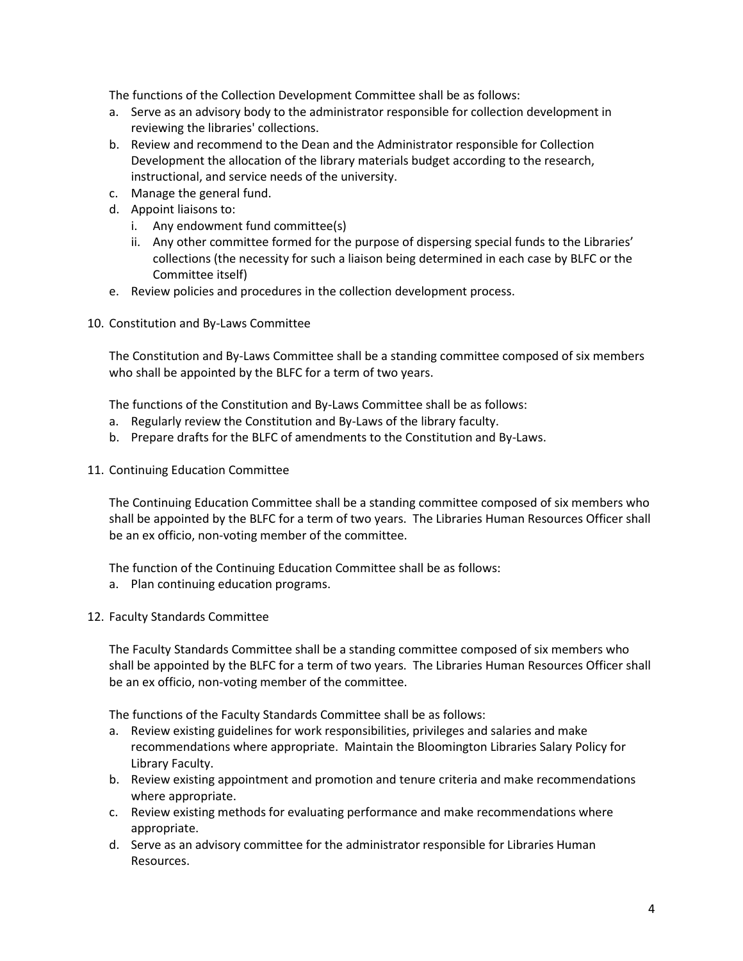The functions of the Collection Development Committee shall be as follows:

- a. Serve as an advisory body to the administrator responsible for collection development in reviewing the libraries' collections.
- b. Review and recommend to the Dean and the Administrator responsible for Collection Development the allocation of the library materials budget according to the research, instructional, and service needs of the university.
- c. Manage the general fund.
- d. Appoint liaisons to:
	- i. Any endowment fund committee(s)
	- ii. Any other committee formed for the purpose of dispersing special funds to the Libraries' collections (the necessity for such a liaison being determined in each case by BLFC or the Committee itself)
- e. Review policies and procedures in the collection development process.
- 10. Constitution and By-Laws Committee

The Constitution and By-Laws Committee shall be a standing committee composed of six members who shall be appointed by the BLFC for a term of two years.

The functions of the Constitution and By-Laws Committee shall be as follows:

- a. Regularly review the Constitution and By-Laws of the library faculty.
- b. Prepare drafts for the BLFC of amendments to the Constitution and By-Laws.
- 11. Continuing Education Committee

The Continuing Education Committee shall be a standing committee composed of six members who shall be appointed by the BLFC for a term of two years. The Libraries Human Resources Officer shall be an ex officio, non-voting member of the committee.

The function of the Continuing Education Committee shall be as follows:

- a. Plan continuing education programs.
- 12. Faculty Standards Committee

The Faculty Standards Committee shall be a standing committee composed of six members who shall be appointed by the BLFC for a term of two years. The Libraries Human Resources Officer shall be an ex officio, non-voting member of the committee.

The functions of the Faculty Standards Committee shall be as follows:

- a. Review existing guidelines for work responsibilities, privileges and salaries and make recommendations where appropriate. Maintain the Bloomington Libraries Salary Policy for Library Faculty.
- b. Review existing appointment and promotion and tenure criteria and make recommendations where appropriate.
- c. Review existing methods for evaluating performance and make recommendations where appropriate.
- d. Serve as an advisory committee for the administrator responsible for Libraries Human Resources.